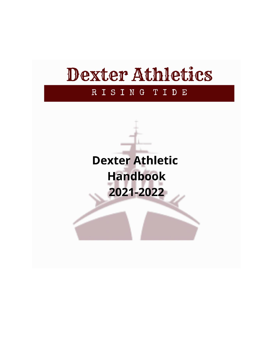# Dexter Athletics

#### RISING TIDE

**Dexter Athletic Handbook** 2021-2022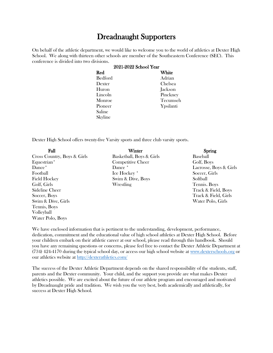# Dreadnaught Supporters

On behalf of the athletic department, we would like to welcome you to the world of athletics at Dexter High School. We along with thirteen other schools are member of the Southeastern Conference (SEC). This conference is divided into two divisions.

| 2021-2022 School Year |           |  |
|-----------------------|-----------|--|
| Red                   | White     |  |
| <b>Bedford</b>        | Adrian    |  |
| Dexter                | Chelsea   |  |
| <b>Huron</b>          | Jackson   |  |
| Lincoln               | Pinckney  |  |
| Monroe                | Tecumseh  |  |
| Pioneer               | Ypsilanti |  |
| Saline                |           |  |
| Skyline               |           |  |
|                       |           |  |

Dexter High School offers twenty-five Varsity sports and three club varsity sports.

| Fall                        | Winter                   | Spring                 |
|-----------------------------|--------------------------|------------------------|
| Cross Country, Boys & Girls | Basketball, Boys & Girls | <b>Baseball</b>        |
| Equestrian*                 | Competitive Cheer        | Golf, Boys             |
| Dance <sup>*</sup>          | Dance *                  | Lacrosse, Boys & Girls |
| Football                    | Ice Hockey *             | Soccer, Girls          |
| <b>Field Hockey</b>         | Swim & Dive, Boys        | Softball               |
| Golf, Girls                 | Wrestling                | Tennis. Boys           |
| Sideline Cheer              |                          | Track & Field, Boys    |
| Soccer, Boys                |                          | Track & Field, Girls   |
| Swim & Dive, Girls          |                          | Water Polo, Girls      |
| Tennis, Boys                |                          |                        |
| Volleyball                  |                          |                        |
| Water Polo, Boys            |                          |                        |

We have enclosed information that is pertinent to the understanding, development, performance, dedication, commitment and the educational value of high school athletics at Dexter High School. Before your children embark on their athletic career at our school, please read through this handbook. Should you have any remaining questions or concerns, please feel free to contact the Dexter Athletic Department at (734) 424-4170 during the typical school day, or access our high school website at [www.dexterschools.org](https://dhs.dexterschools.org/) or our athletics website at<http://dexterathletics.com/>

The success of the Dexter Athletic Department depends on the shared responsibility of the students, staff, parents and the Dexter community. Your child, and the support you provide are what makes Dexter athletics possible. We are excited about the future of our athlete program and encouraged and motivated by Dreadnaught pride and tradition. We wish you the very best, both academically and athletically, for success at Dexter High School.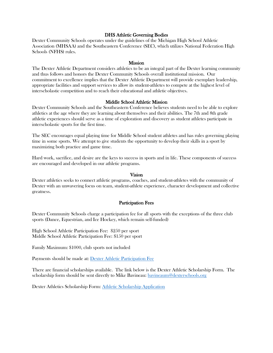# DHS Athletic Governing Bodies

Dexter Community Schools operates under the guidelines of the Michigan High School Athletic Association (MHSAA) and the Southeastern Conference (SEC), which utilizes National Federation High Schools (NFHS) rules.

#### Mission

The Dexter Athletic Department considers athletics to be an integral part of the Dexter learning community and thus follows and honors the Dexter Community Schools overall institutional mission. Our commitment to excellence implies that the Dexter Athletic Department will provide exemplary leadership, appropriate facilities and support services to allow its student-athletes to compete at the highest level of interscholastic competition and to reach their educational and athletic objectives.

# Middle School Athletic Mission

Dexter Community Schools and the Southeastern Conference believes students need to be able to explore athletics at the age where they are learning about themselves and their abilities. The 7th and 8th grade athletic experiences should serve as a time of exploration and discovery as student athletes participate in interscholastic sports for the first time.

The SEC encourages equal playing time for Middle School student athletes and has rules governing playing time in some sports. We attempt to give students the opportunity to develop their skills in a sport by maximizing both practice and game time.

Hard work, sacrifice, and desire are the keys to success in sports and in life. These components of success are encouraged and developed in our athletic programs.

# Vision

Dexter athletics seeks to connect athletic programs, coaches, and student-athletes with the community of Dexter with an unwavering focus on team, student-athlete experience, character development and collective greatness.

#### Participation Fees

Dexter Community Schools charge a participation fee for all sports with the exceptions of the three club sports (Dance, Equestrian, and Ice Hockey, which remain self-funded)

High School Athletic Participation Fee: \$250 per sport Middle School Athletic Participation Fee: \$150 per sport

Family Maximum: \$1000, club sports not included

Payments should be made at: [Dexter Athletic Participation Fee](https://dexterschools.ce.eleyo.com/search?redirected_yet=true&sf%5bcategory%5d=63)

There are financial scholarships available. The link below is the Dexter Athletic Scholarship Form. The scholarship form should be sent directly to Mike Bavineau: [bavineaum@dexterschools.org](mailto:bavineaum@dexterschools.org)

Dexter Athletics Scholarship Form: [Athletic Scholarship Application](https://www.dexterschools.org/uploaded/athletics/athletics_forms/DCS_Athletics_Scholarship_Form_fillable.pdf)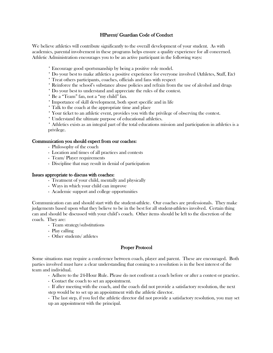# HParent/ Guardian Code of Conduct

We believe athletics will contribute significantly to the overall development of your student. As with academics, parental involvement in these programs helps ensure a quality experience for all concerned. Athletic Administration encourages you to be an active participant in the following ways:

- \* Encourage good sportsmanship by being a positive role model.
- \* Do your best to make athletics a positive experience for everyone involved (Athletes, Staff, Etc)
- \* Treat others participants, coaches, officials and fans with respect
- \* Reinforce the school's substance abuse policies and refrain from the use of alcohol and drugs
- \* Do your best to understand and appreciate the rules of the contest.
- \* Be a "Team" fan, not a "my child" fan.
- \* Importance of skill development, both sport specific and in life
- \* Talk to the coach at the appropriate time and place
- \* Your ticket to an athletic event, provides you with the privilege of observing the contest.
- \* Understand the ultimate purpose of educational athletics.

\* Athletics exists as an integral part of the total educations mission and participation in athletics is a privilege.

#### Communication you should expect from our coaches:

- Philosophy of the coach
- Location and times of all practices and contests
- Team/ Player requirements
- Discipline that may result in denial of participation

#### Issues appropriate to discuss with coaches:

- Treatment of your child, mentally and physically
- Ways in which your child can improve
- Academic support and college opportunities

Communication can and should start with the student-athlete. Our coaches are professionals. They make judgements based upon what they believe to be in the best for all student-athletes involved. Certain thing can and should be discussed with your child's coach. Other items should be left to the discretion of the coach. They are:

- Team strategy/substitutions
- Play calling
- Other students/ athletes

# Proper Protocol

Some situations may require a conference between coach, player and parent. These are encouraged. Both parties involved must have a clear understanding that coming to a resolution is in the best interest of the team and individual.

- Adhere to the 24-Hour Rule. Please do not confront a coach before or after a contest or practice.
- Contact the coach to set an appointment.
- If after meeting with the coach, and the coach did not provide a satisfactory resolution, the next step would be to set up an appointment with the athletic director.

- The last step, if you feel the athletic director did not provide a satisfactory resolution, you may set up an appointment with the principal.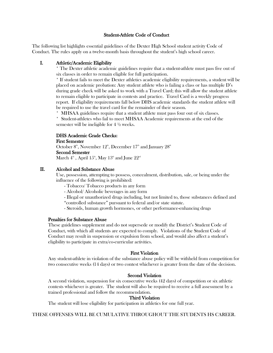# Student-Athlete Code of Conduct

The following list highlights essential guidelines of the Dexter High School student activity Code of Conduct. The rules apply on a twelve-month basis throughout the student's high school career.

# I. Athletic/Academic Eligibility

\* The Dexter athletic academic guidelines require that a student-athlete must pass five out of six classes in order to remain eligible for full participation.

\* If student fails to meet the Dexter athletics academic eligibility requirements, a student will be placed on academic probation: Any student athlete who is failing a class or has multiple D's during grade check will be asked to work with a Travel Card; this will allow the student athlete to remain eligible to participate in contests and practice. Travel Card is a weekly progress report. If eligibility requirements fall below DHS academic standards the student athlete will be required to use the travel card for the remainder of their season.

\* MHSAA guidelines require that a student athlete must pass four out of six classes.

\* Student-athletes who fail to meet MHSAA Academic requirements at the end of the semester will be ineligible for 4 ½ weeks.

# DHS Academic Grade Checks:

#### First Semester

October  $8^\text{\tiny th}$ , November  $12^\text{\tiny th}$ , December  $17^\text{\tiny th}$  and January  $28^\text{\tiny th}$ Second Semester

 $\rm{March~4^{\tiny{th}}}$  ,  $\rm{April~15^{\tiny{th}}}, \rm{May~13^{\tiny{th}}}$  and  $\rm{June~22^{\tiny{nd}}}$ 

# II. Alcohol and Substance Abuse

Use, possession, attempting to possess, concealment, distribution, sale, or being under the influence of the following is prohibited:

- Tobacco/ Tobacco products in any form
- Alcohol/ Alcoholic beverages in any form
- Illegal or unauthorized drugs including, but not limited to, those substances defined and
- "controlled substance" pursuant to federal and/or state statute.
- Steroids, human growth hormones, or other performance-enhancing drugs

#### Penalties for Substance Abuse

These guidelines supplement and do not supersede or modify the District's Student Code of Conduct, with which all students are expected to comply. Violations of the Student Code of Conduct may result in suspension or expulsion from school, and would also affect a student's eligibility to participate in extra/co-curricular activities.

#### First Violation

Any student-athlete in violation of the substance abuse policy will be withheld from competition for two consecutive weeks (14 days) or two contest whichever is greater from the date of the decision.

#### Second Violation

A second violation, suspension for six consecutive weeks (42 days) of competition or six athletic contests whichever is greater. The student will also be required to receive a full assessment by a trained professional and follow the recommendation.

#### Third Violation

The student will lose eligibility for participation in athletics for one full year.

THESE OFFENSES WILL BE CUMULATIVE THROUGHOUT THE STUDENTS HS CAREER.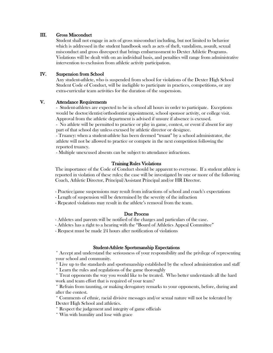# III. Gross Misconduct

Student shall not engage in acts of gross misconduct including, but not limited to behavior which is addressed in the student handbook such as acts of theft, vandalism, assault, sexual misconduct and gross disrespect that brings embarrassment to Dexter Athletic Programs. Violations will be dealt with on an individual basis, and penalties will range from administrative intervention to exclusion from athletic activity participation.

# IV. Suspension from School

Any student-athlete, who is suspended from school for violations of the Dexter High School Student Code of Conduct, will be ineligible to participate in practices, competitions, or any extra-curricular team activities for the duration of the suspension.

# V. Attendance Requirements

- Student-athletes are expected to be in school all hours in order to participate. Exceptions would be doctor/dentist/orthodontist appointment, school sponsor activity, or college visit. Approval from the athletic department is advised if unsure if absence is excused.

- No athlete will be permitted to practice or play in game, contest, or event if absent for any part of that school day unless excused by athletic director or designee.

- Truancy: when a student-athlete has been deemed "truant" by a school administrator, the athlete will not be allowed to practice or compete in the next competition following the reported truancy.

- Multiple unexcused absents can be subject to attendance infractions.

#### Training Rules Violations

The importance of the Code of Conduct should be apparent to everyone. If a student athlete is reported in violation of these rules; the case will be investigated by one or more of the following Coach, Athletic Director, Principal/Assistant Principal and/or HR Director.

- Practice/game suspensions may result from infractions of school and coach's expectations
- Length of suspension will be determined by the severity of the infraction
- Repeated violations may result in the athlete's removal from the team.

#### Due Process

- Athletes and parents will be notified of the charges and particulars of the case.

- Athletes has a right to a hearing with the "Board of Athletics Appeal Committee"

- Request must be made 24 hours after notification of violations

#### Student-Athlete Sportsmanship Expectations

\* Accept and understand the seriousness of your responsibility and the privilege of representing your school and community.

\* Live up to the standards and sportsmanship established by the school administration and staff

\* Learn the rules and regulations of the game thoroughly

\* Treat opponents the way you would like to be treated. Who better understands all the hard work and team effort that is required of your team?

\* Refrain from taunting, or making derogatory remarks to your opponents, before, during and after the contest.

\* Comments of ethnic, racial divisive messages and/or sexual nature will not be tolerated by Dexter High School and athletics.

\* Respect the judgement and integrity of game officials

\* Win with humility and lose with grace